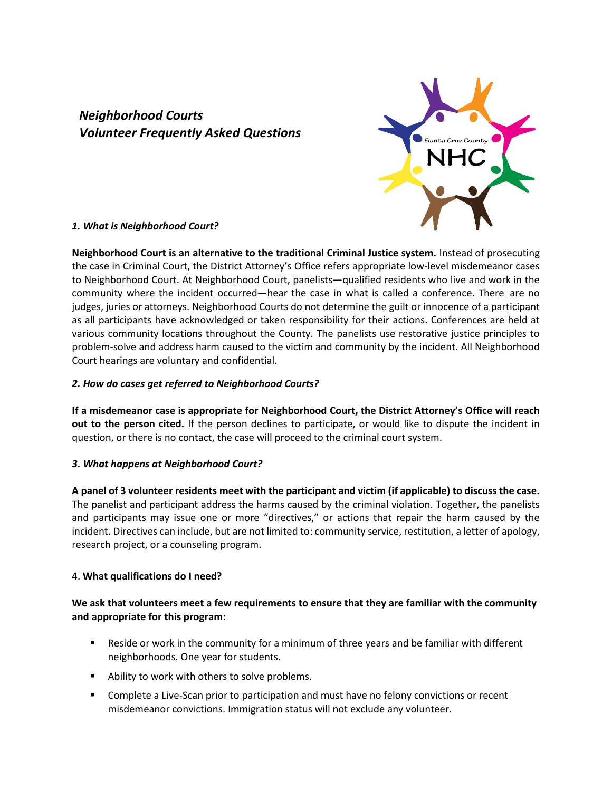# *Neighborhood Courts Volunteer Frequently Asked Questions*



#### *1. What is Neighborhood Court?*

**Neighborhood Court is an alternative to the traditional Criminal Justice system.** Instead of prosecuting the case in Criminal Court, the District Attorney's Office refers appropriate low-level misdemeanor cases to Neighborhood Court. At Neighborhood Court, panelists—qualified residents who live and work in the community where the incident occurred—hear the case in what is called a conference. There are no judges, juries or attorneys. Neighborhood Courts do not determine the guilt or innocence of a participant as all participants have acknowledged or taken responsibility for their actions. Conferences are held at various community locations throughout the County. The panelists use restorative justice principles to problem-solve and address harm caused to the victim and community by the incident. All Neighborhood Court hearings are voluntary and confidential.

### *2. How do cases get referred to Neighborhood Courts?*

**If a misdemeanor case is appropriate for Neighborhood Court, the District Attorney's Office will reach out to the person cited.** If the person declines to participate, or would like to dispute the incident in question, or there is no contact, the case will proceed to the criminal court system.

#### *3. What happens at Neighborhood Court?*

**A panel of 3 volunteer residents meet with the participant and victim (if applicable) to discuss the case.** The panelist and participant address the harms caused by the criminal violation. Together, the panelists and participants may issue one or more "directives," or actions that repair the harm caused by the incident. Directives can include, but are not limited to: community service, restitution, a letter of apology, research project, or a counseling program.

### 4. **What qualifications do I need?**

## **We ask that volunteers meet a few requirements to ensure that they are familiar with the community and appropriate for this program:**

- Reside or work in the community for a minimum of three years and be familiar with different neighborhoods. One year for students.
- Ability to work with others to solve problems.
- **Complete a Live-Scan prior to participation and must have no felony convictions or recent** misdemeanor convictions. Immigration status will not exclude any volunteer.